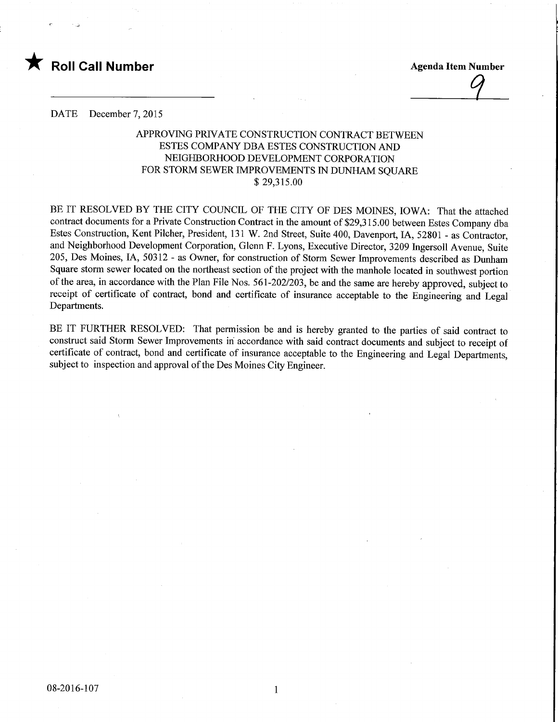

**Agenda Item Number** 

## DATE December 7, 2015

## APPROVING PRIVATE CONSTRUCTION CONTRACT BETWEEN ESTES COMPANY DBA ESTES CONSTRUCTION AND NEIGHBORHOOD DEVELOPMENT CORPORATION FOR STORM SEWER IMPROVEMENTS IN DUNHAM SOUARE \$ 29,315.00

BE IT RESOLVED BY THE CITY COUNCIL OF THE CITY OF DES MOINES, IOWA: That the attached contract documents for a Private Construction Contract in the amount of \$29,315.00 between Estes Company dba Estes Construction, Kent Pilcher, President, 131 W. 2nd Street, Suite 400, Davenport, IA, 52801 - as Contractor, and Neighborhood Development Corporation, Glenn F. Lyons, Executive Director, 3209 Ingersoll Avenue, Suite 205, Des Moines, IA, 50312 - as Owner, for construction of Storm Sewer Improvements described as Dunham Square storm sewer located on the northeast section of the project with the manhole located in southwest portion of the area, in accordance with the Plan File Nos. 561-202/203, be and the same are hereby approved, subject to receipt of certificate of contract, bond and certificate of insurance acceptable to the Engineering and Legal Departments.

BE IT FURTHER RESOLVED: That permission be and is hereby granted to the parties of said contract to construct said Storm Sewer Improvements in accordance with said contract documents and subject to receipt of certificate of contract, bond and certificate of insurance acceptable to the Engineering and Legal Departments, subject to inspection and approval of the Des Moines City Engineer.

 $\mathbf{1}$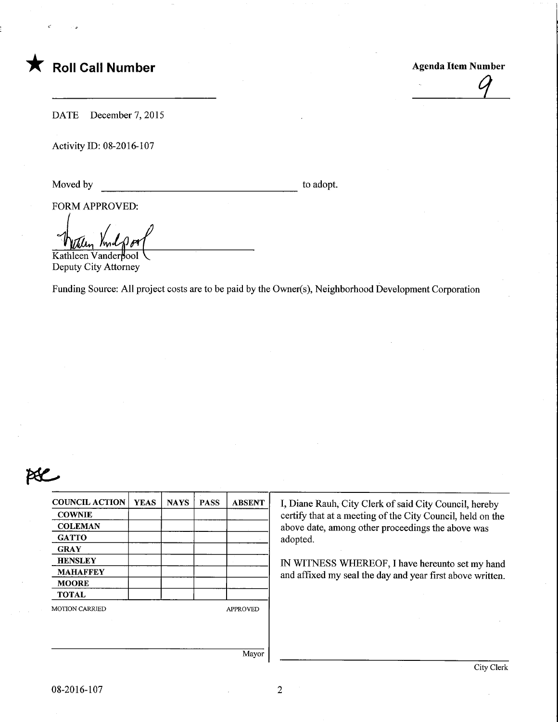

## Roll Call Number

Agenda Item Number

 $\frac{9}{2}$ 

DATE December 7, 2015

Activity ID: 08-2016-107

Moved by to adopt.

FORM APPROVED:

Imd

Kathleen Vanderpool Deputy City Attorney

Funding Source: All project costs are to be paid by the Owner(s), Neighborhood Development Corporation

## **DEC**

| <b>COUNCIL ACTION</b> | <b>YEAS</b> | <b>NAYS</b> | <b>PASS</b> | <b>ABSENT</b>   |
|-----------------------|-------------|-------------|-------------|-----------------|
| <b>COWNIE</b>         |             |             |             |                 |
| <b>COLEMAN</b>        |             |             |             |                 |
| <b>GATTO</b>          |             |             |             |                 |
| <b>GRAY</b>           |             |             |             |                 |
| <b>HENSLEY</b>        |             |             |             |                 |
| <b>MAHAFFEY</b>       |             |             |             |                 |
| <b>MOORE</b>          |             |             |             |                 |
| <b>TOTAL</b>          |             |             |             |                 |
| <b>MOTION CARRIED</b> |             |             |             | <b>APPROVED</b> |
|                       |             |             |             |                 |
|                       |             |             |             |                 |
|                       |             |             |             |                 |
|                       |             |             |             | Mavor           |

I, Diane Rauh, City Clerk of said City Council, hereby certify that at a meeting of the City Council, held on the above date, among other proceedings the above was adopted.

IN WITNESS WHEREOF, I have hereunto set my hand and affixed my seal the day and year first above written.

Mayor